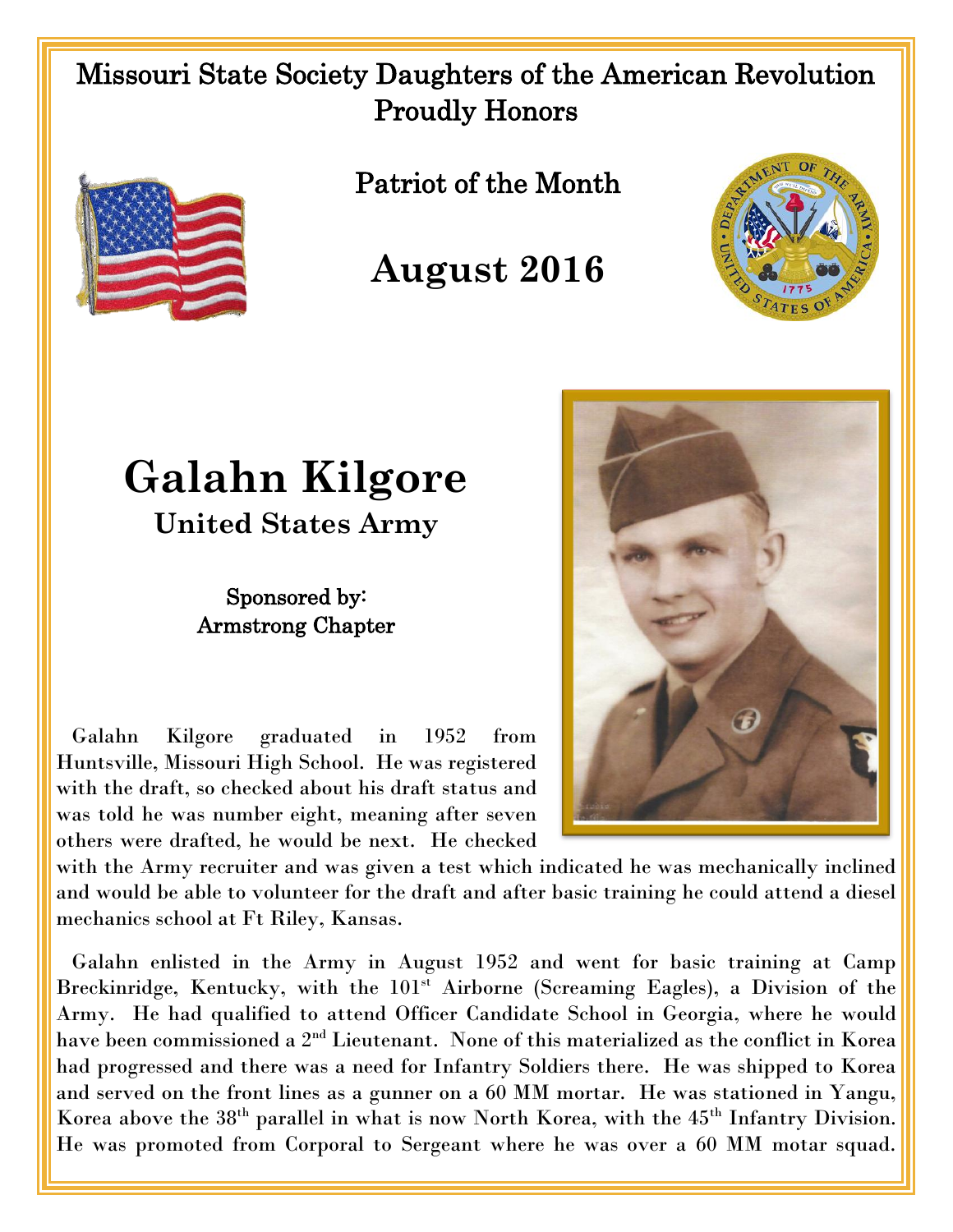## Missouri State Society Daughters of the American Revolution Proudly Honors



Patriot of the Month



## **August 2016**

## **Galahn Kilgore**

**United States Army**

## Sponsored by: Armstrong Chapter

 Galahn Kilgore graduated in 1952 from Huntsville, Missouri High School. He was registered with the draft, so checked about his draft status and was told he was number eight, meaning after seven others were drafted, he would be next. He checked



with the Army recruiter and was given a test which indicated he was mechanically inclined and would be able to volunteer for the draft and after basic training he could attend a diesel mechanics school at Ft Riley, Kansas.

 Galahn enlisted in the Army in August 1952 and went for basic training at Camp Breckinridge, Kentucky, with the 101<sup>st</sup> Airborne (Screaming Eagles), a Division of the Army. He had qualified to attend Officer Candidate School in Georgia, where he would have been commissioned a 2<sup>nd</sup> Lieutenant. None of this materialized as the conflict in Korea had progressed and there was a need for Infantry Soldiers there. He was shipped to Korea and served on the front lines as a gunner on a 60 MM mortar. He was stationed in Yangu, Korea above the  $38<sup>th</sup>$  parallel in what is now North Korea, with the  $45<sup>th</sup>$  Infantry Division. He was promoted from Corporal to Sergeant where he was over a 60 MM motar squad.